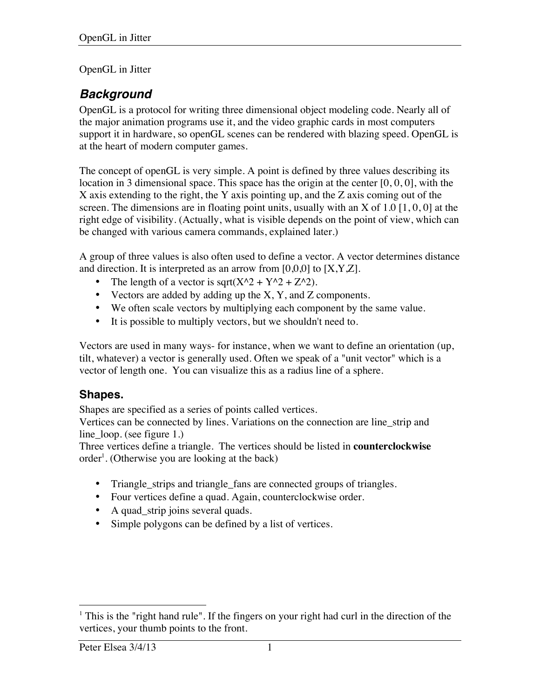#### OpenGL in Jitter

## *Background*

OpenGL is a protocol for writing three dimensional object modeling code. Nearly all of the major animation programs use it, and the video graphic cards in most computers support it in hardware, so openGL scenes can be rendered with blazing speed. OpenGL is at the heart of modern computer games.

The concept of openGL is very simple. A point is defined by three values describing its location in 3 dimensional space. This space has the origin at the center [0, 0, 0], with the X axis extending to the right, the Y axis pointing up, and the Z axis coming out of the screen. The dimensions are in floating point units, usually with an X of 1.0 [1, 0, 0] at the right edge of visibility. (Actually, what is visible depends on the point of view, which can be changed with various camera commands, explained later.)

A group of three values is also often used to define a vector. A vector determines distance and direction. It is interpreted as an arrow from  $[0,0,0]$  to  $[X, Y, Z]$ .

- The length of a vector is sqrt( $X^2 + Y^2 + Z^2$ ).
- Vectors are added by adding up the X, Y, and Z components.
- We often scale vectors by multiplying each component by the same value.
- It is possible to multiply vectors, but we shouldn't need to.

Vectors are used in many ways- for instance, when we want to define an orientation (up, tilt, whatever) a vector is generally used. Often we speak of a "unit vector" which is a vector of length one. You can visualize this as a radius line of a sphere.

#### **Shapes.**

Shapes are specified as a series of points called vertices.

Vertices can be connected by lines. Variations on the connection are line\_strip and line\_loop. (see figure 1.)

Three vertices define a triangle. The vertices should be listed in **counterclockwise** order<sup>1</sup>. (Otherwise you are looking at the back)

- Triangle\_strips and triangle\_fans are connected groups of triangles.
- Four vertices define a quad. Again, counterclockwise order.
- A quad\_strip joins several quads.
- Simple polygons can be defined by a list of vertices.

 $<sup>1</sup>$  This is the "right hand rule". If the fingers on your right had curl in the direction of the</sup> vertices, your thumb points to the front.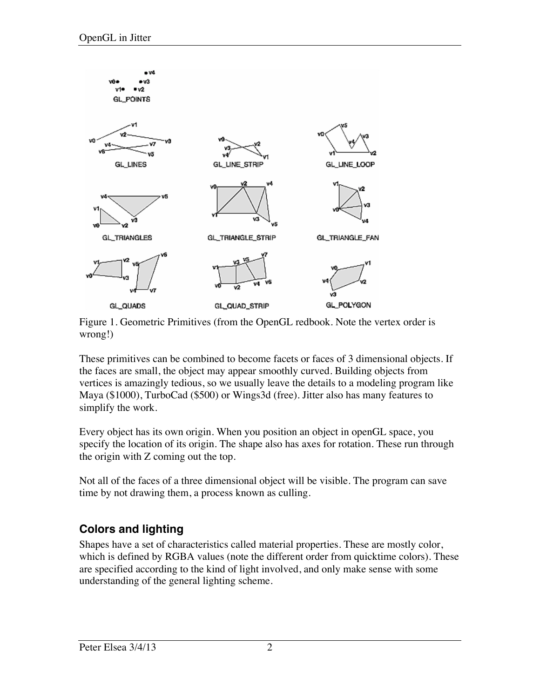

Figure 1. Geometric Primitives (from the OpenGL redbook. Note the vertex order is wrong!)

These primitives can be combined to become facets or faces of 3 dimensional objects. If the faces are small, the object may appear smoothly curved. Building objects from vertices is amazingly tedious, so we usually leave the details to a modeling program like Maya (\$1000), TurboCad (\$500) or Wings3d (free). Jitter also has many features to simplify the work.

Every object has its own origin. When you position an object in openGL space, you specify the location of its origin. The shape also has axes for rotation. These run through the origin with Z coming out the top.

Not all of the faces of a three dimensional object will be visible. The program can save time by not drawing them, a process known as culling.

### **Colors and lighting**

Shapes have a set of characteristics called material properties. These are mostly color, which is defined by RGBA values (note the different order from quicktime colors). These are specified according to the kind of light involved, and only make sense with some understanding of the general lighting scheme.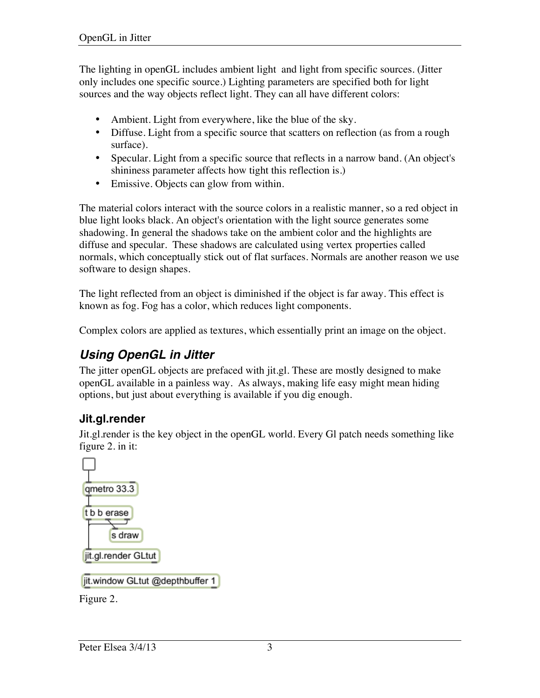The lighting in openGL includes ambient light and light from specific sources. (Jitter only includes one specific source.) Lighting parameters are specified both for light sources and the way objects reflect light. They can all have different colors:

- Ambient. Light from everywhere, like the blue of the sky.
- Diffuse. Light from a specific source that scatters on reflection (as from a rough surface).
- Specular. Light from a specific source that reflects in a narrow band. (An object's shininess parameter affects how tight this reflection is.)
- Emissive. Objects can glow from within.

The material colors interact with the source colors in a realistic manner, so a red object in blue light looks black. An object's orientation with the light source generates some shadowing. In general the shadows take on the ambient color and the highlights are diffuse and specular. These shadows are calculated using vertex properties called normals, which conceptually stick out of flat surfaces. Normals are another reason we use software to design shapes.

The light reflected from an object is diminished if the object is far away. This effect is known as fog. Fog has a color, which reduces light components.

Complex colors are applied as textures, which essentially print an image on the object.

# *Using OpenGL in Jitter*

The jitter openGL objects are prefaced with jit.gl. These are mostly designed to make openGL available in a painless way. As always, making life easy might mean hiding options, but just about everything is available if you dig enough.

### **Jit.gl.render**

Jit.gl.render is the key object in the openGL world. Every Gl patch needs something like figure 2. in it:



jit.window GLtut @depthbuffer 1

Figure 2.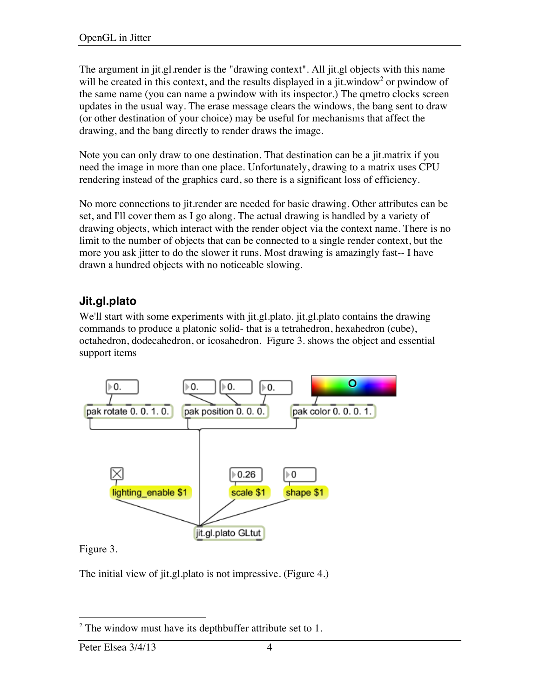The argument in jit.gl.render is the "drawing context". All jit.gl objects with this name will be created in this context, and the results displayed in a jit.window<sup>2</sup> or pwindow of the same name (you can name a pwindow with its inspector.) The qmetro clocks screen updates in the usual way. The erase message clears the windows, the bang sent to draw (or other destination of your choice) may be useful for mechanisms that affect the drawing, and the bang directly to render draws the image.

Note you can only draw to one destination. That destination can be a jit.matrix if you need the image in more than one place. Unfortunately, drawing to a matrix uses CPU rendering instead of the graphics card, so there is a significant loss of efficiency.

No more connections to jit.render are needed for basic drawing. Other attributes can be set, and I'll cover them as I go along. The actual drawing is handled by a variety of drawing objects, which interact with the render object via the context name. There is no limit to the number of objects that can be connected to a single render context, but the more you ask jitter to do the slower it runs. Most drawing is amazingly fast-- I have drawn a hundred objects with no noticeable slowing.

## **Jit.gl.plato**

We'll start with some experiments with jit.gl.plato. jit.gl.plato contains the drawing commands to produce a platonic solid- that is a tetrahedron, hexahedron (cube), octahedron, dodecahedron, or icosahedron. Figure 3. shows the object and essential support items



Figure 3.

The initial view of jit.gl.plato is not impressive. (Figure 4.)

 $2$  The window must have its depthbuffer attribute set to 1.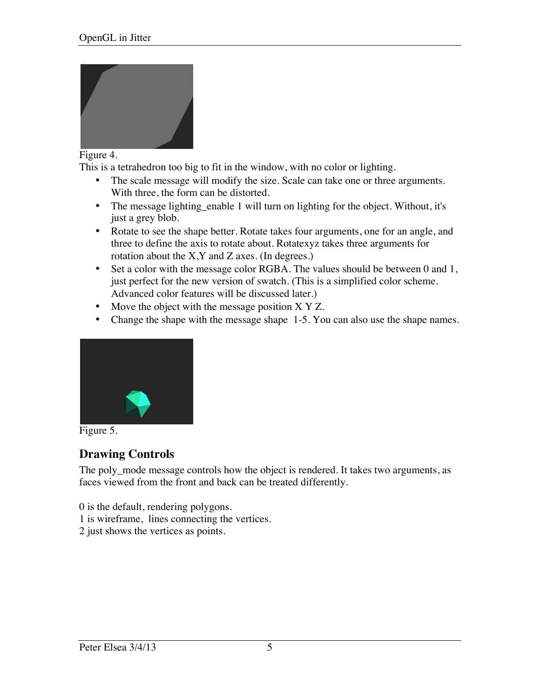

#### Figure 4.

This is a tetrahedron too big to fit in the window, with no color or lighting.

- The scale message will modify the size. Scale can take one or three arguments. With three, the form can be distorted.
- The message lighting\_enable 1 will turn on lighting for the object. Without, it's just a grey blob.
- Rotate to see the shape better. Rotate takes four arguments, one for an angle, and three to define the axis to rotate about. Rotatexyz takes three arguments for rotation about the X,Y and Z axes. (In degrees.)
- Set a color with the message color RGBA. The values should be between 0 and 1, just perfect for the new version of swatch. (This is a simplified color scheme. Advanced color features will be discussed later.)
- Move the object with the message position X Y Z.
- Change the shape with the message shape 1-5. You can also use the shape names.





### **Drawing Controls**

The poly\_mode message controls how the object is rendered. It takes two arguments, as faces viewed from the front and back can be treated differently.

0 is the default, rendering polygons.

- 1 is wireframe, lines connecting the vertices.
- 2 just shows the vertices as points.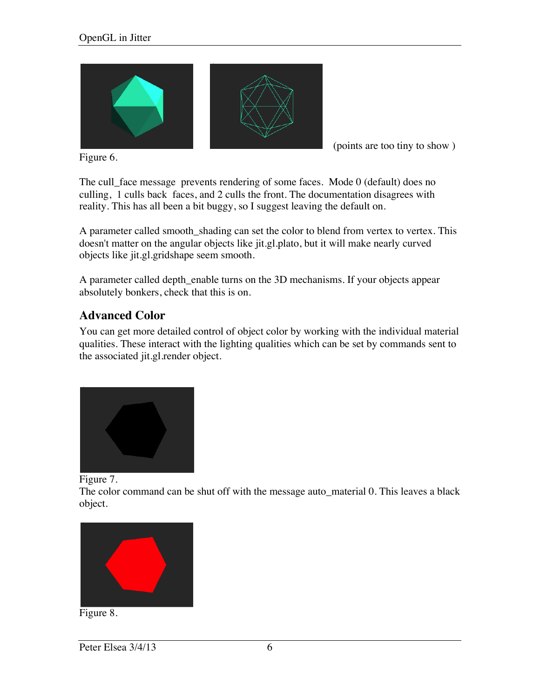

(points are too tiny to show )

Figure 6.

The cull\_face message prevents rendering of some faces. Mode 0 (default) does no culling, 1 culls back faces, and 2 culls the front. The documentation disagrees with reality. This has all been a bit buggy, so I suggest leaving the default on.

A parameter called smooth\_shading can set the color to blend from vertex to vertex. This doesn't matter on the angular objects like jit.gl.plato, but it will make nearly curved objects like jit.gl.gridshape seem smooth.

A parameter called depth\_enable turns on the 3D mechanisms. If your objects appear absolutely bonkers, check that this is on.

### **Advanced Color**

You can get more detailed control of object color by working with the individual material qualities. These interact with the lighting qualities which can be set by commands sent to the associated jit.gl.render object.



Figure 7.

The color command can be shut off with the message auto\_material 0. This leaves a black object.



Figure 8.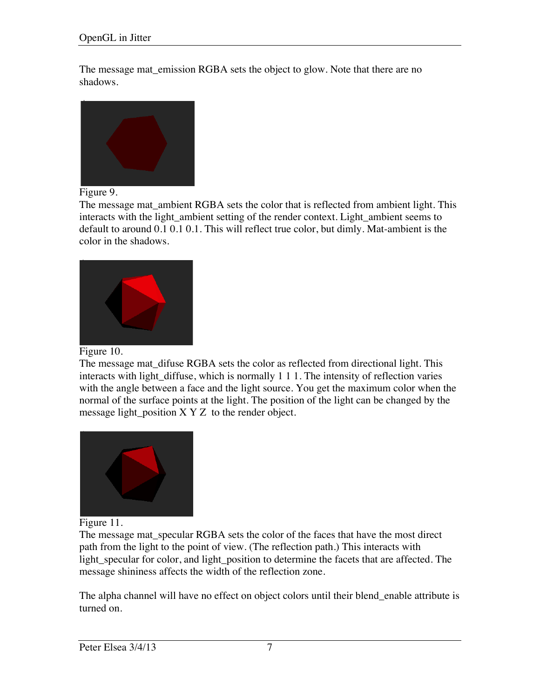The message mat emission RGBA sets the object to glow. Note that there are no shadows.



#### Figure 9.

The message mat ambient RGBA sets the color that is reflected from ambient light. This interacts with the light\_ambient setting of the render context. Light\_ambient seems to default to around 0.1 0.1 0.1. This will reflect true color, but dimly. Mat-ambient is the color in the shadows.



Figure 10.

The message mat\_difuse RGBA sets the color as reflected from directional light. This interacts with light diffuse, which is normally 1 1 1. The intensity of reflection varies with the angle between a face and the light source. You get the maximum color when the normal of the surface points at the light. The position of the light can be changed by the message light\_position X Y Z to the render object.



Figure 11.

The message mat\_specular RGBA sets the color of the faces that have the most direct path from the light to the point of view. (The reflection path.) This interacts with light\_specular for color, and light\_position to determine the facets that are affected. The message shininess affects the width of the reflection zone.

The alpha channel will have no effect on object colors until their blend\_enable attribute is turned on.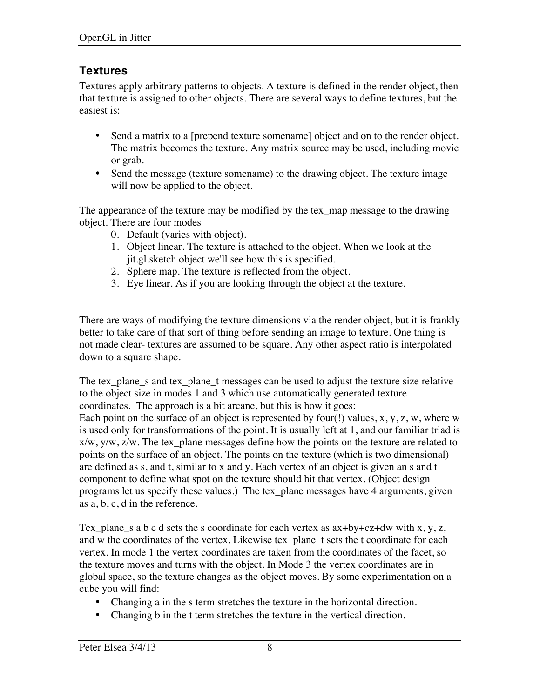### **Textures**

Textures apply arbitrary patterns to objects. A texture is defined in the render object, then that texture is assigned to other objects. There are several ways to define textures, but the easiest is:

- Send a matrix to a [prepend texture somename] object and on to the render object. The matrix becomes the texture. Any matrix source may be used, including movie or grab.
- Send the message (texture somename) to the drawing object. The texture image will now be applied to the object.

The appearance of the texture may be modified by the tex\_map message to the drawing object. There are four modes

- 0. Default (varies with object).
- 1. Object linear. The texture is attached to the object. When we look at the jit.gl.sketch object we'll see how this is specified.
- 2. Sphere map. The texture is reflected from the object.
- 3. Eye linear. As if you are looking through the object at the texture.

There are ways of modifying the texture dimensions via the render object, but it is frankly better to take care of that sort of thing before sending an image to texture. One thing is not made clear- textures are assumed to be square. Any other aspect ratio is interpolated down to a square shape.

The tex\_plane\_s and tex\_plane\_t messages can be used to adjust the texture size relative to the object size in modes 1 and 3 which use automatically generated texture coordinates. The approach is a bit arcane, but this is how it goes: Each point on the surface of an object is represented by four(!) values, x, y, z, w, where w is used only for transformations of the point. It is usually left at 1, and our familiar triad is x/w, y/w, z/w. The tex\_plane messages define how the points on the texture are related to points on the surface of an object. The points on the texture (which is two dimensional) are defined as s, and t, similar to x and y. Each vertex of an object is given an s and t component to define what spot on the texture should hit that vertex. (Object design programs let us specify these values.) The tex\_plane messages have 4 arguments, given as a, b, c, d in the reference.

Tex\_plane\_s a b c d sets the s coordinate for each vertex as  $ax+by+cz+dw$  with  $x, y, z$ , and w the coordinates of the vertex. Likewise tex\_plane\_t sets the t coordinate for each vertex. In mode 1 the vertex coordinates are taken from the coordinates of the facet, so the texture moves and turns with the object. In Mode 3 the vertex coordinates are in global space, so the texture changes as the object moves. By some experimentation on a cube you will find:

- Changing a in the s term stretches the texture in the horizontal direction.
- Changing b in the t term stretches the texture in the vertical direction.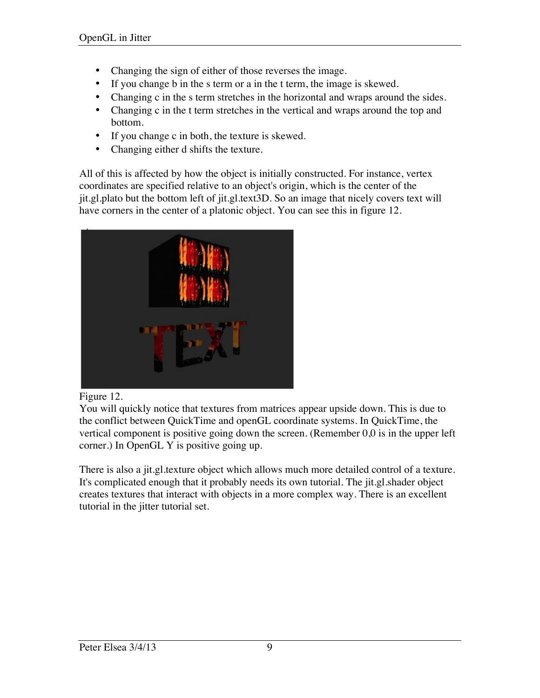- Changing the sign of either of those reverses the image.
- If you change b in the s term or a in the t term, the image is skewed.
- Changing c in the s term stretches in the horizontal and wraps around the sides.
- Changing c in the t term stretches in the vertical and wraps around the top and bottom.
- If you change c in both, the texture is skewed.
- Changing either d shifts the texture.

All of this is affected by how the object is initially constructed. For instance, vertex coordinates are specified relative to an object's origin, which is the center of the jit.gl.plato but the bottom left of jit.gl.text3D. So an image that nicely covers text will have corners in the center of a platonic object. You can see this in figure 12.



#### Figure 12.

You will quickly notice that textures from matrices appear upside down. This is due to the conflict between QuickTime and openGL coordinate systems. In QuickTime, the vertical component is positive going down the screen. (Remember 0,0 is in the upper left corner.) In OpenGL Y is positive going up.

There is also a jit.gl.texture object which allows much more detailed control of a texture. It's complicated enough that it probably needs its own tutorial. The jit.gl.shader object creates textures that interact with objects in a more complex way. There is an excellent tutorial in the jitter tutorial set.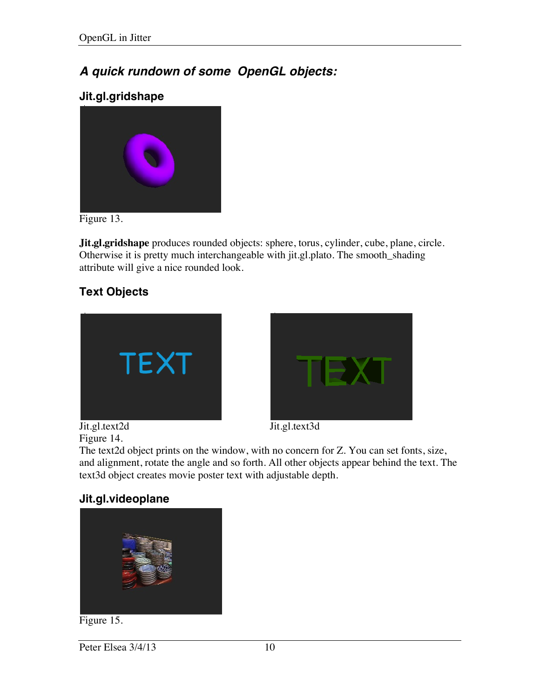## *A quick rundown of some OpenGL objects:*

### **Jit.gl.gridshape**



Figure 13.

**Jit.gl.gridshape** produces rounded objects: sphere, torus, cylinder, cube, plane, circle. Otherwise it is pretty much interchangeable with jit.gl.plato. The smooth\_shading attribute will give a nice rounded look.

## **Text Objects**







The text2d object prints on the window, with no concern for Z. You can set fonts, size, and alignment, rotate the angle and so forth. All other objects appear behind the text. The text3d object creates movie poster text with adjustable depth.

### **Jit.gl.videoplane**



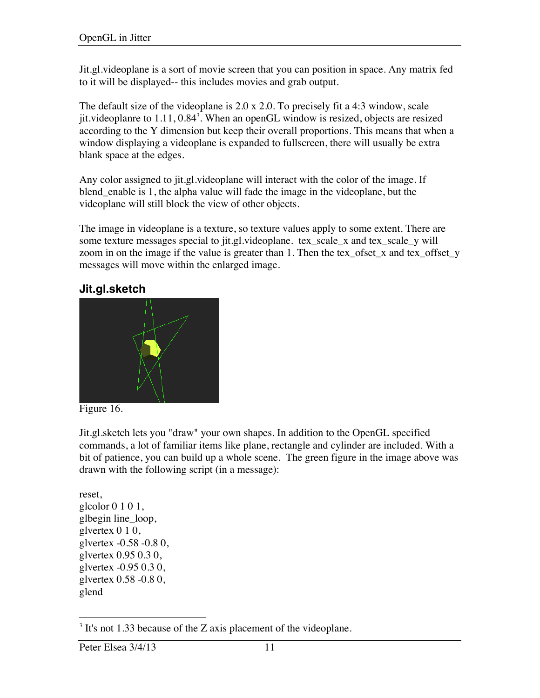Jit.gl.videoplane is a sort of movie screen that you can position in space. Any matrix fed to it will be displayed-- this includes movies and grab output.

The default size of the videoplane is 2.0 x 2.0. To precisely fit a 4:3 window, scale jit.videoplanre to  $1.11, 0.84<sup>3</sup>$ . When an openGL window is resized, objects are resized according to the Y dimension but keep their overall proportions. This means that when a window displaying a videoplane is expanded to fullscreen, there will usually be extra blank space at the edges.

Any color assigned to jit.gl.videoplane will interact with the color of the image. If blend\_enable is 1, the alpha value will fade the image in the videoplane, but the videoplane will still block the view of other objects.

The image in videoplane is a texture, so texture values apply to some extent. There are some texture messages special to jit.gl.videoplane. tex\_scale\_x and tex\_scale\_y will zoom in on the image if the value is greater than 1. Then the tex\_ofset\_x and tex\_offset\_y messages will move within the enlarged image.

**Jit.gl.sketch**





Jit.gl.sketch lets you "draw" your own shapes. In addition to the OpenGL specified commands, a lot of familiar items like plane, rectangle and cylinder are included. With a bit of patience, you can build up a whole scene. The green figure in the image above was drawn with the following script (in a message):

reset, glcolor 0 1 0 1, glbegin line\_loop, glvertex 0 1 0, glvertex -0.58 -0.8 0, glvertex 0.95 0.3 0, glvertex -0.95 0.3 0, glvertex 0.58 -0.8 0, glend

<sup>&</sup>lt;sup>3</sup> It's not 1.33 because of the Z axis placement of the videoplane.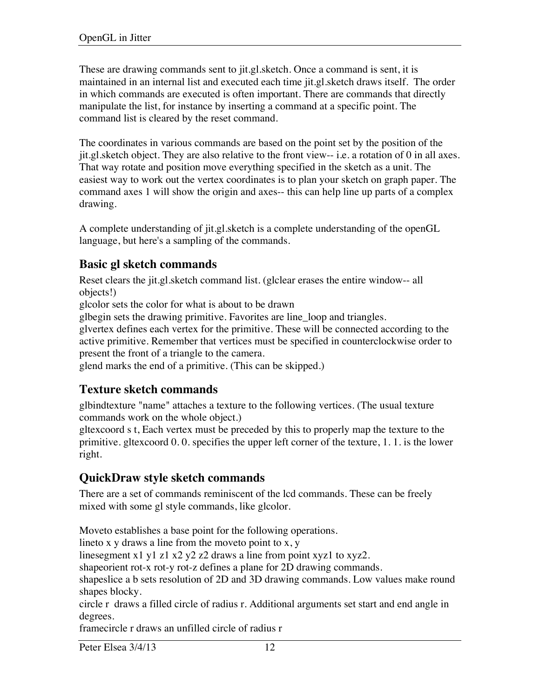These are drawing commands sent to jit.gl.sketch. Once a command is sent, it is maintained in an internal list and executed each time jit.gl.sketch draws itself. The order in which commands are executed is often important. There are commands that directly manipulate the list, for instance by inserting a command at a specific point. The command list is cleared by the reset command.

The coordinates in various commands are based on the point set by the position of the jit.gl.sketch object. They are also relative to the front view-- i.e. a rotation of 0 in all axes. That way rotate and position move everything specified in the sketch as a unit. The easiest way to work out the vertex coordinates is to plan your sketch on graph paper. The command axes 1 will show the origin and axes-- this can help line up parts of a complex drawing.

A complete understanding of jit.gl.sketch is a complete understanding of the openGL language, but here's a sampling of the commands.

### **Basic gl sketch commands**

Reset clears the jit.gl.sketch command list. (glclear erases the entire window-- all objects!)

glcolor sets the color for what is about to be drawn

glbegin sets the drawing primitive. Favorites are line\_loop and triangles.

glvertex defines each vertex for the primitive. These will be connected according to the active primitive. Remember that vertices must be specified in counterclockwise order to present the front of a triangle to the camera.

glend marks the end of a primitive. (This can be skipped.)

### **Texture sketch commands**

glbindtexture "name" attaches a texture to the following vertices. (The usual texture commands work on the whole object.)

gltexcoord s t, Each vertex must be preceded by this to properly map the texture to the primitive. gltexcoord 0. 0. specifies the upper left corner of the texture, 1. 1. is the lower right.

### **QuickDraw style sketch commands**

There are a set of commands reminiscent of the lcd commands. These can be freely mixed with some gl style commands, like glcolor.

Moveto establishes a base point for the following operations.

lineto x  $y$  draws a line from the moveto point to  $x, y$ 

linesegment x1 y1 z1 x2 y2 z2 draws a line from point xyz1 to xyz2.

shapeorient rot-x rot-y rot-z defines a plane for 2D drawing commands.

shapeslice a b sets resolution of 2D and 3D drawing commands. Low values make round shapes blocky.

circle r draws a filled circle of radius r. Additional arguments set start and end angle in degrees.

framecircle r draws an unfilled circle of radius r

Peter Elsea 3/4/13 12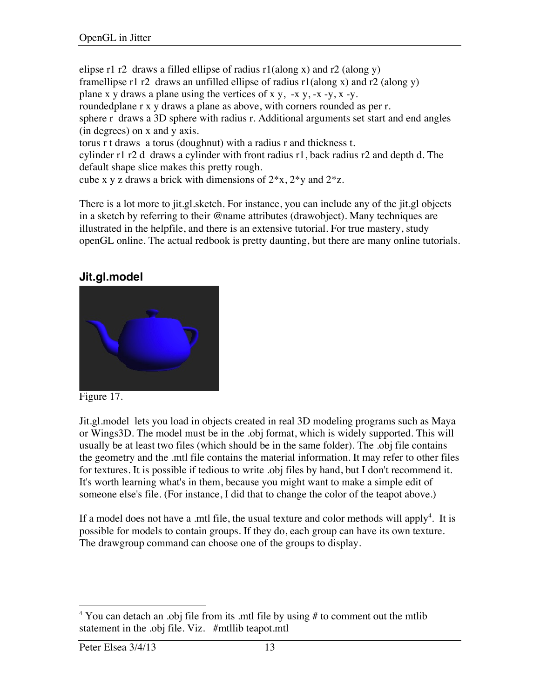elipse r1 r2 draws a filled ellipse of radius  $r1$ (along x) and r2 (along y) framellipse r1 r2 draws an unfilled ellipse of radius  $r1$ (along x) and r2 (along y) plane x y draws a plane using the vertices of x y,  $-x$  y,  $-x$  -y,  $x$  -y. roundedplane r x y draws a plane as above, with corners rounded as per r. sphere r draws a 3D sphere with radius r. Additional arguments set start and end angles (in degrees) on x and y axis. torus r t draws a torus (doughnut) with a radius r and thickness t. cylinder r1 r2 d draws a cylinder with front radius r1, back radius r2 and depth d. The default shape slice makes this pretty rough. cube x y z draws a brick with dimensions of  $2*x$ ,  $2*y$  and  $2*z$ .

There is a lot more to jit.gl.sketch. For instance, you can include any of the jit.gl objects in a sketch by referring to their @name attributes (drawobject). Many techniques are illustrated in the helpfile, and there is an extensive tutorial. For true mastery, study openGL online. The actual redbook is pretty daunting, but there are many online tutorials.

### **Jit.gl.model**



Figure 17.

Jit.gl.model lets you load in objects created in real 3D modeling programs such as Maya or Wings3D. The model must be in the .obj format, which is widely supported. This will usually be at least two files (which should be in the same folder). The .obj file contains the geometry and the .mtl file contains the material information. It may refer to other files for textures. It is possible if tedious to write .obj files by hand, but I don't recommend it. It's worth learning what's in them, because you might want to make a simple edit of someone else's file. (For instance, I did that to change the color of the teapot above.)

If a model does not have a .mtl file, the usual texture and color methods will apply<sup>4</sup>. It is possible for models to contain groups. If they do, each group can have its own texture. The drawgroup command can choose one of the groups to display.

 $4$  You can detach an .obj file from its .mtl file by using # to comment out the mtlib statement in the .obj file. Viz. #mtllib teapot.mtl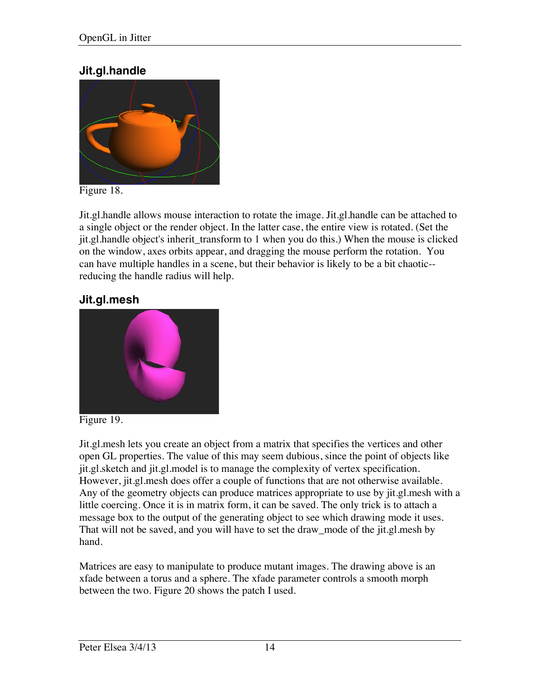### **Jit.gl.handle**



Figure 18.

Jit.gl.handle allows mouse interaction to rotate the image. Jit.gl.handle can be attached to a single object or the render object. In the latter case, the entire view is rotated. (Set the jit.gl.handle object's inherit\_transform to 1 when you do this.) When the mouse is clicked on the window, axes orbits appear, and dragging the mouse perform the rotation. You can have multiple handles in a scene, but their behavior is likely to be a bit chaotic- reducing the handle radius will help.

### **Jit.gl.mesh**



Figure 19.

Jit.gl.mesh lets you create an object from a matrix that specifies the vertices and other open GL properties. The value of this may seem dubious, since the point of objects like jit.gl.sketch and jit.gl.model is to manage the complexity of vertex specification. However, jit.gl.mesh does offer a couple of functions that are not otherwise available. Any of the geometry objects can produce matrices appropriate to use by jit.gl.mesh with a little coercing. Once it is in matrix form, it can be saved. The only trick is to attach a message box to the output of the generating object to see which drawing mode it uses. That will not be saved, and you will have to set the draw\_mode of the jit.gl.mesh by hand.

Matrices are easy to manipulate to produce mutant images. The drawing above is an xfade between a torus and a sphere. The xfade parameter controls a smooth morph between the two. Figure 20 shows the patch I used.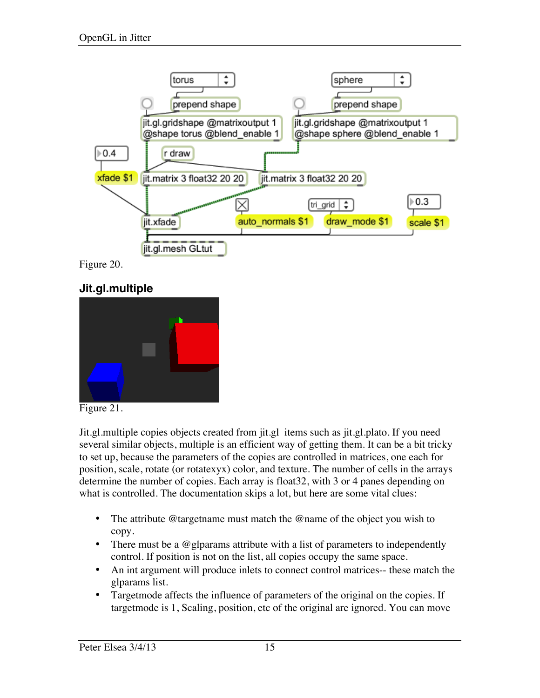

Figure 20.

### **Jit.gl.multiple**





Jit.gl.multiple copies objects created from jit.gl items such as jit.gl.plato. If you need several similar objects, multiple is an efficient way of getting them. It can be a bit tricky to set up, because the parameters of the copies are controlled in matrices, one each for position, scale, rotate (or rotatexyx) color, and texture. The number of cells in the arrays determine the number of copies. Each array is float32, with 3 or 4 panes depending on what is controlled. The documentation skips a lot, but here are some vital clues:

- The attribute @targetname must match the @name of the object you wish to copy.
- There must be a @glparams attribute with a list of parameters to independently control. If position is not on the list, all copies occupy the same space.
- An int argument will produce inlets to connect control matrices-- these match the glparams list.
- Targetmode affects the influence of parameters of the original on the copies. If targetmode is 1, Scaling, position, etc of the original are ignored. You can move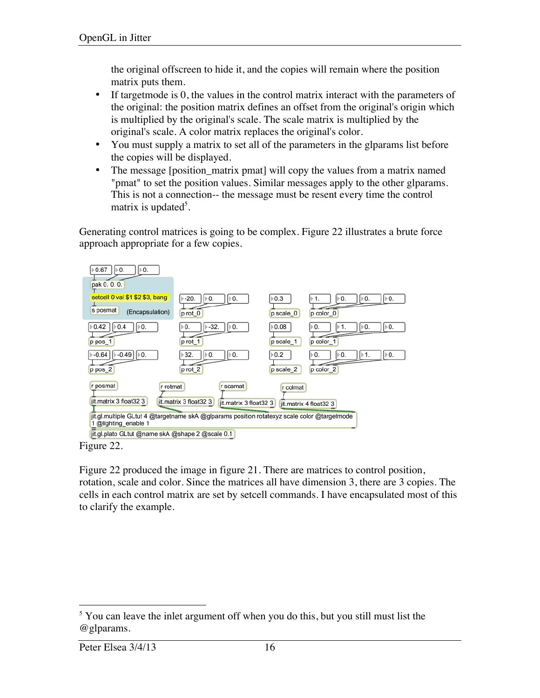the original offscreen to hide it, and the copies will remain where the position matrix puts them.

- If target mode is 0, the values in the control matrix interact with the parameters of the original: the position matrix defines an offset from the original's origin which is multiplied by the original's scale. The scale matrix is multiplied by the original's scale. A color matrix replaces the original's color.
- You must supply a matrix to set all of the parameters in the glparams list before the copies will be displayed.
- The message [position\_matrix pmat] will copy the values from a matrix named "pmat" to set the position values. Similar messages apply to the other glparams. This is not a connection-- the message must be resent every time the control matrix is updated<sup>5</sup>.

Generating control matrices is going to be complex. Figure 22 illustrates a brute force approach appropriate for a few copies.



Figure 22.

Figure 22 produced the image in figure 21. There are matrices to control position, rotation, scale and color. Since the matrices all have dimension 3, there are 3 copies. The cells in each control matrix are set by setcell commands. I have encapsulated most of this to clarify the example.

<sup>&</sup>lt;sup>5</sup> You can leave the inlet argument off when you do this, but you still must list the @glparams.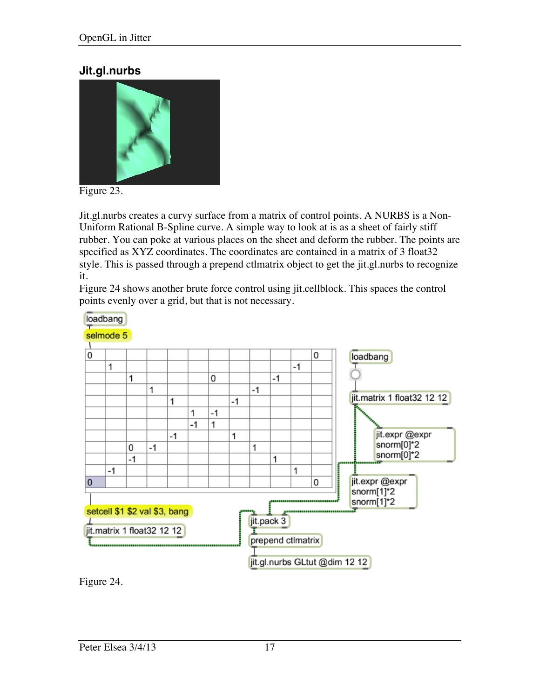### **Jit.gl.nurbs**



Figure 23.

Jit.gl.nurbs creates a curvy surface from a matrix of control points. A NURBS is a Non-Uniform Rational B-Spline curve. A simple way to look at is as a sheet of fairly stiff rubber. You can poke at various places on the sheet and deform the rubber. The points are specified as XYZ coordinates. The coordinates are contained in a matrix of 3 float32 style. This is passed through a prepend ctlmatrix object to get the jit.gl.nurbs to recognize it.

Figure 24 shows another brute force control using jit.cellblock. This spaces the control points evenly over a grid, but that is not necessary.



Figure 24.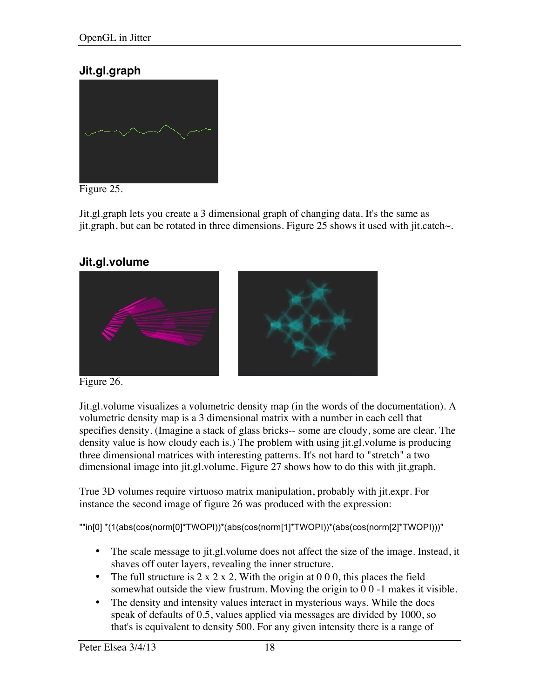### **Jit.gl.graph**



Figure 25.

Jit.gl.graph lets you create a 3 dimensional graph of changing data. It's the same as jit.graph, but can be rotated in three dimensions. Figure 25 shows it used with jit.catch~.

### **Jit.gl.volume**



Figure 26.

Jit.gl.volume visualizes a volumetric density map (in the words of the documentation). A volumetric density map is a 3 dimensional matrix with a number in each cell that specifies density. (Imagine a stack of glass bricks-- some are cloudy, some are clear. The density value is how cloudy each is.) The problem with using jit.gl.volume is producing three dimensional matrices with interesting patterns. It's not hard to "stretch" a two dimensional image into jit.gl.volume. Figure 27 shows how to do this with jit.graph.

True 3D volumes require virtuoso matrix manipulation, probably with jit.expr. For instance the second image of figure 26 was produced with the expression:

""in[0] \*(1(abs(cos(norm[0]\*TWOPI))\*(abs(cos(norm[1]\*TWOPI))\*(abs(cos(norm[2]\*TWOPI)))"

- The scale message to jit.gl.volume does not affect the size of the image. Instead, it shaves off outer layers, revealing the inner structure.
- The full structure is  $2 \times 2 \times 2$ . With the origin at 0 0 0, this places the field somewhat outside the view frustrum. Moving the origin to 0 0 -1 makes it visible.
- The density and intensity values interact in mysterious ways. While the docs speak of defaults of 0.5, values applied via messages are divided by 1000, so that's is equivalent to density 500. For any given intensity there is a range of